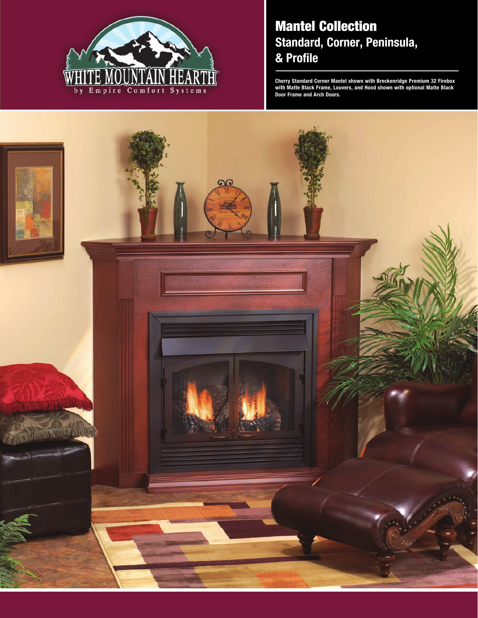

# Mantel Collection **Standard, Corner, Peninsula, & Profile**

**Cherry Standard Corner Mantel shown with Breckenridge Premium 32 Firebox with Matte Black Frame, Louvers, and Hood shown with optional Matte Black Door Frame and Arch Doors.**

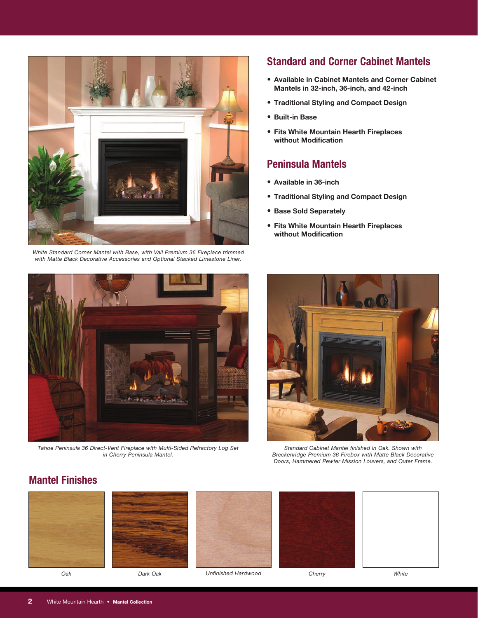

*White Standard Corner Mantel with Base, with Vail Premium 36 Fireplace trimmed with Matte Black Decorative Accessories and Optional Stacked Limestone Liner.*



*Tahoe Peninsula 36 Direct-Vent Fireplace with Multi-Sided Refractory Log Set in Cherry Peninsula Mantel.*

## **Standard and Corner Cabinet Mantels**

- **• Available in Cabinet Mantels and Corner Cabinet Mantels in 32-inch, 36-inch, and 42-inch**
- **• Traditional Styling and Compact Design**
- **• Built-in Base**
- **• Fits White Mountain Hearth Fireplaces without Modification**

#### **Peninsula Mantels**

- **• Available in 36-inch**
- **• Traditional Styling and Compact Design**
- **• Base Sold Separately**
- **• Fits White Mountain Hearth Fireplaces without Modification**



*Standard Cabinet Mantel finished in Oak. Shown with Breckenridge Premium 36 Firebox with Matte Black Decorative Doors, Hammered Pewter Mission Louvers, and Outer Frame.*

# **Mantel Finishes**













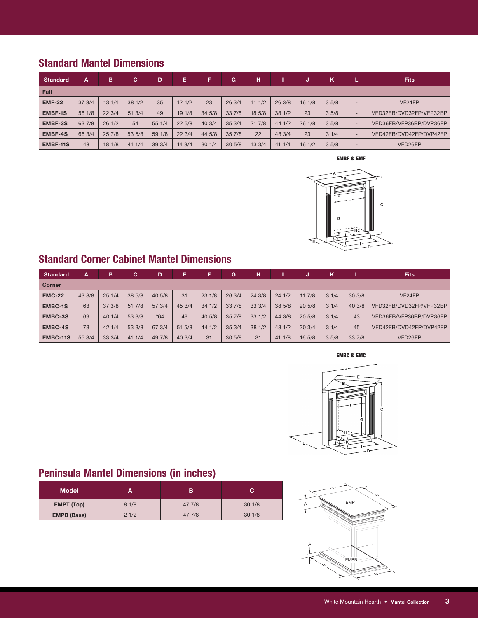# **Standard Mantel Dimensions**

| Standard        | A      | в     | с۱     | D      | Е      | F.     | G      | H.     |        | J     | κ    |                          | <b>Fits</b>             |
|-----------------|--------|-------|--------|--------|--------|--------|--------|--------|--------|-------|------|--------------------------|-------------------------|
| <b>Full</b>     |        |       |        |        |        |        |        |        |        |       |      |                          |                         |
| <b>EMF-22</b>   | 373/4  | 131/4 | 381/2  | 35     | 121/2  | 23     | 26 3/4 | 111/2  | 263/8  | 161/8 | 35/8 |                          | VF <sub>24</sub> FP     |
| <b>EMBF-1S</b>  | 58 1/8 | 223/4 | 51 3/4 | 49     | 191/8  | 345/8  | 33 7/8 | 18 5/8 | 381//2 | 23    | 35/8 | $\overline{\phantom{0}}$ | VFD32FB/DVD32FP/VFP32BP |
| <b>EMBF-3S</b>  | 63 7/8 | 261/2 | 54     | 55 1/4 | 225/8  | 40 3/4 | 353/4  | 217/8  | 44 1/2 | 261/8 | 35/8 | $\overline{\phantom{a}}$ | VFD36FB/VFP36BP/DVP36FP |
| <b>EMBF-4S</b>  | 66 3/4 | 257/8 | 53 5/8 | 59 1/8 | 223/4  | 44 5/8 | 357/8  | 22     | 48 3/4 | 23    | 31/4 | $\overline{\phantom{a}}$ | VFD42FB/DVD42FP/DVP42FP |
| <b>EMBF-11S</b> | 48     | 181/8 | 411/4  | 39 3/4 | 14 3/4 | 301/4  | 305/8  | 13 3/4 | 411/4  | 161/2 | 35/8 | $\overline{\phantom{a}}$ | VFD26FP                 |



## **Standard Corner Cabinet Mantel Dimensions**

| Standard        | A      | в      | C.        | D            | Е      | E.     | G      | н     |        | υ      | κ    | н.     | <b>Fits</b>             |  |
|-----------------|--------|--------|-----------|--------------|--------|--------|--------|-------|--------|--------|------|--------|-------------------------|--|
| <b>Corner</b>   |        |        |           |              |        |        |        |       |        |        |      |        |                         |  |
| <b>EMC-22</b>   | 43 3/8 | 251/4  | 38 5/8    | 405/8        | 31     | 231/8  | 263/4  | 243/8 | 241/2  | 117/8  | 31/4 | 303/8  | VF <sub>24</sub> FP     |  |
| <b>EMBC-1S</b>  | 63     | 37 3/8 | 7/8<br>51 | 57 3/4       | 45 3/4 | 341/2  | 33 7/8 | 333/4 | 38 5/8 | 205/8  | 31/4 | 40 3/8 | VFD32FB/DVD32FP/VFP32BP |  |
| <b>EMBC-3S</b>  | 69     | 401/4  | 53 3/8    | $\degree$ 64 | 49     | 40 5/8 | 357/8  | 331/2 | 44 3/8 | 205/8  | 31/4 | 43     | VFD36FB/VFP36BP/DVP36FP |  |
| <b>EMBC-4S</b>  | 73     | 42 1/4 | 53 3/8    | 67 3/4       | 51 5/8 | 44 1/2 | 353/4  | 381/2 | 48 1/2 | 203/4  | 31/4 | 45     | VFD42FB/DVD42FP/DVP42FP |  |
| <b>EMBC-11S</b> | 55 3/4 | 33 3/4 | 411/4     | 49 7/8       | 40 3/4 | 31     | 305/8  | 31    | 411/8  | 16 5/8 | 35/8 | 33 7/8 | VFD26FP                 |  |



# **Peninsula Mantel Dimensions (in inches)**

| <b>Model</b>       | А    | в      | С     |  |  |
|--------------------|------|--------|-------|--|--|
| <b>EMPT (Top)</b>  | 81/8 | 47 7/8 | 301/8 |  |  |
| <b>EMPB (Base)</b> | 21/2 | 47 7/8 | 301/8 |  |  |



#### EMBC & EMC